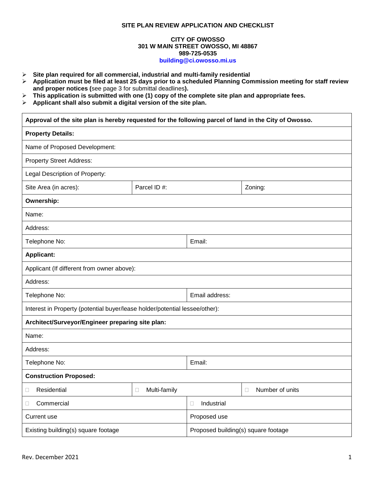## **SITE PLAN REVIEW APPLICATION AND CHECKLIST**

## **CITY OF OWOSSO 301 W MAIN STREET OWOSSO, MI 48867 989-725-0535 [building@ci.owosso.mi.us](mailto:building@ci.owosso.mi.us)**

- **Site plan required for all commercial, industrial and multi-family residential**
- **Application must be filed at least 25 days prior to a scheduled Planning Commission meeting for staff review and proper notices (**see page 3 for submittal deadlines**).**
- **This application is submitted with one (1) copy of the complete site plan and appropriate fees.**
- **Applicant shall also submit a digital version of the site plan.**

| Approval of the site plan is hereby requested for the following parcel of land in the City of Owosso. |                   |                                     |                 |  |
|-------------------------------------------------------------------------------------------------------|-------------------|-------------------------------------|-----------------|--|
| <b>Property Details:</b>                                                                              |                   |                                     |                 |  |
| Name of Proposed Development:                                                                         |                   |                                     |                 |  |
| <b>Property Street Address:</b>                                                                       |                   |                                     |                 |  |
| Legal Description of Property:                                                                        |                   |                                     |                 |  |
| Site Area (in acres):                                                                                 | Parcel ID #:      |                                     | Zoning:         |  |
| Ownership:                                                                                            |                   |                                     |                 |  |
| Name:                                                                                                 |                   |                                     |                 |  |
| Address:                                                                                              |                   |                                     |                 |  |
| Telephone No:                                                                                         |                   | Email:                              |                 |  |
| <b>Applicant:</b>                                                                                     |                   |                                     |                 |  |
| Applicant (If different from owner above):                                                            |                   |                                     |                 |  |
| Address:                                                                                              |                   |                                     |                 |  |
| Telephone No:                                                                                         |                   | Email address:                      |                 |  |
| Interest in Property (potential buyer/lease holder/potential lessee/other):                           |                   |                                     |                 |  |
| Architect/Surveyor/Engineer preparing site plan:                                                      |                   |                                     |                 |  |
| Name:                                                                                                 |                   |                                     |                 |  |
| Address:                                                                                              |                   |                                     |                 |  |
| Telephone No:                                                                                         |                   | Email:                              |                 |  |
| <b>Construction Proposed:</b>                                                                         |                   |                                     |                 |  |
| Residential                                                                                           | Multi-family<br>□ |                                     | Number of units |  |
| Commercial<br>Ц                                                                                       |                   | Industrial<br>$\Box$                |                 |  |
| Current use                                                                                           |                   | Proposed use                        |                 |  |
| Existing building(s) square footage                                                                   |                   | Proposed building(s) square footage |                 |  |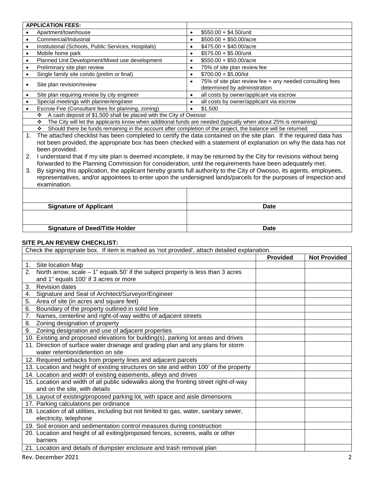|                                                                                                                   | <b>APPLICATION FEES:</b>                                                                                                 |           |                                                                                          |
|-------------------------------------------------------------------------------------------------------------------|--------------------------------------------------------------------------------------------------------------------------|-----------|------------------------------------------------------------------------------------------|
|                                                                                                                   | Apartment/townhouse                                                                                                      | $\bullet$ | $$550.00 + $4.50/$ unit                                                                  |
|                                                                                                                   | Commercial/Industrial                                                                                                    | ٠         | $$500.00 + $50.00/$ acre                                                                 |
| ٠                                                                                                                 | Institutional (Schools, Public Services, Hospitals)                                                                      | $\bullet$ | $$475.00 + $40.00/$ acre                                                                 |
| $\bullet$                                                                                                         | Mobile home park                                                                                                         | $\bullet$ | $$575.00 + $5.00/$ unit                                                                  |
| $\bullet$                                                                                                         | Planned Unit Development/Mixed use development                                                                           | $\bullet$ | $$550.00 + $50.00/ \text{acre}$                                                          |
|                                                                                                                   | Preliminary site plan review                                                                                             | $\bullet$ | 75% of site plan review fee                                                              |
|                                                                                                                   | Single family site condo (prelim or final)                                                                               | $\bullet$ | $$700.00 + $5.00/$ lot                                                                   |
|                                                                                                                   | Site plan revision/review                                                                                                | $\bullet$ | 75% of site plan review fee + any needed consulting fees<br>determined by administration |
| ٠                                                                                                                 | Site plan requiring review by city engineer                                                                              | $\bullet$ | all costs by owner/applicant via escrow                                                  |
|                                                                                                                   | Special meetings with planner/engineer                                                                                   |           | all costs by owner/applicant via escrow                                                  |
|                                                                                                                   | Escrow Fee (Consultant fees for planning, zoning)                                                                        | $\bullet$ | \$1,500                                                                                  |
|                                                                                                                   | A cash deposit of \$1,500 shall be placed with the City of Owosso<br>❖                                                   |           |                                                                                          |
|                                                                                                                   | The City will let the applicants know when additional funds are needed (typically when about 25% is remaining)<br>❖      |           |                                                                                          |
|                                                                                                                   | Should there be funds remaining in the account after completion of the project, the balance will be returned<br>❖        |           |                                                                                          |
|                                                                                                                   | The attached checklist has been completed to certify the data contained on the site plan. If the required data has<br>1. |           |                                                                                          |
|                                                                                                                   | not been provided, the appropriate box has been checked with a statement of explanation on why the data has not          |           |                                                                                          |
|                                                                                                                   | been provided.                                                                                                           |           |                                                                                          |
| 2.                                                                                                                | I understand that if my site plan is deemed incomplete, it may be returned by the City for revisions without being       |           |                                                                                          |
|                                                                                                                   | forwarded to the Planning Commission for consideration, until the requirements have been adequately met.                 |           |                                                                                          |
| 3.                                                                                                                | By signing this application, the applicant hereby grants full authority to the City of Owosso, its agents, employees,    |           |                                                                                          |
| representatives, and/or appointees to enter upon the undersigned lands/parcels for the purposes of inspection and |                                                                                                                          |           |                                                                                          |

examination.

| <b>Signature of Applicant</b>         | <b>Date</b> |
|---------------------------------------|-------------|
|                                       |             |
| <b>Signature of Deed/Title Holder</b> | Date        |

## **SITE PLAN REVIEW CHECKLIST:**

| Check the appropriate box. If item is marked as 'not provided', attach detailed explanation. |                 |                     |
|----------------------------------------------------------------------------------------------|-----------------|---------------------|
|                                                                                              | <b>Provided</b> | <b>Not Provided</b> |
| Site location Map<br>1.                                                                      |                 |                     |
| North arrow, scale $-1$ " equals 50' if the subject property is less than 3 acres<br>2.      |                 |                     |
| and 1" equals 100' if 3 acres or more                                                        |                 |                     |
| 3.<br><b>Revision dates</b>                                                                  |                 |                     |
| Signature and Seal of Architect/Surveyor/Engineer<br>4.                                      |                 |                     |
| 5.<br>Area of site (in acres and square feet)                                                |                 |                     |
| Boundary of the property outlined in solid line<br>6.                                        |                 |                     |
| Names, centerline and right-of-way widths of adjacent streets<br>7.                          |                 |                     |
| Zoning designation of property<br>8.                                                         |                 |                     |
| Zoning designation and use of adjacent properties<br>9.                                      |                 |                     |
| 10. Existing and proposed elevations for building(s), parking lot areas and drives           |                 |                     |
| 11. Direction of surface water drainage and grading plan and any plans for storm             |                 |                     |
| water retention/detention on site                                                            |                 |                     |
| 12. Required setbacks from property lines and adjacent parcels                               |                 |                     |
| 13. Location and height of existing structures on site and within 100' of the property       |                 |                     |
| 14. Location and width of existing easements, alleys and drives                              |                 |                     |
| 15. Location and width of all public sidewalks along the fronting street right-of-way        |                 |                     |
| and on the site, with details                                                                |                 |                     |
| 16. Layout of existing/proposed parking lot, with space and aisle dimensions                 |                 |                     |
| 17. Parking calculations per ordinance                                                       |                 |                     |
| 18. Location of all utilities, including but not limited to gas, water, sanitary sewer,      |                 |                     |
| electricity, telephone                                                                       |                 |                     |
| 19. Soil erosion and sedimentation control measures during construction                      |                 |                     |
| 20. Location and height of all exiting/proposed fences, screens, walls or other              |                 |                     |
| barriers                                                                                     |                 |                     |
| 21. Location and details of dumpster enclosure and trash removal plan                        |                 |                     |